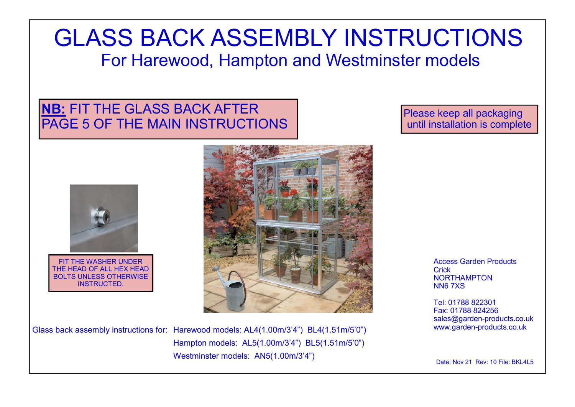# GLASS BACK ASSEMBLY INSTRUCTIONS For Harewood, Hampton and Westminster models

# **NB:** FIT THE GLASS BACK AFTER PAGE 5 OF THE MAIN INSTRUCTIONS

Please keep all packaging until installation is complete



FIT THE WASHER UNDER THE HEAD OF ALL HEX HEAD BOLTS UNLESS OTHERWISE INSTRUCTED.



Glass back assembly instructions for: Harewood models: AL4(1.00m/3'4") BL4(1.51m/5'0") Hampton models: AL5(1.00m/3'4") BL5(1.51m/5'0") Westminster models:  $\overline{ANS}(1.00m/3'4")$  Date: Nov 21 Rev: 10 File: BKL4L5

Access Garden Products **Crick** NORTHAMPTON NN6 7XS

Tel: 01788 822301 Fax: 01788 824256 sales@garden-products.co.uk www.garden-products.co.uk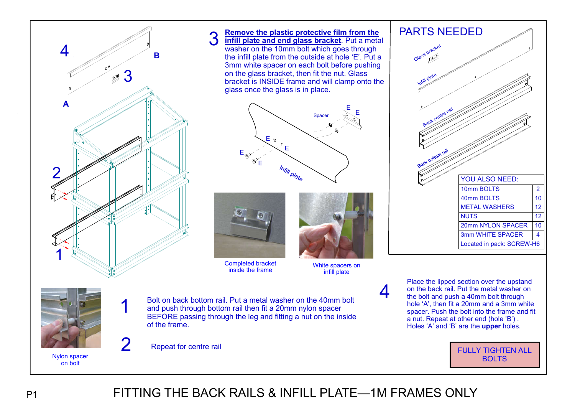

1

**Remove the plastic protective film from the infill plate and end glass bracket**. Put a metal washer on the 10mm bolt which goes through the infill plate from the outside at hole 'E'. Put a 3mm white spacer on each bolt before pushing on the glass bracket, then fit the nut. Glass bracket is INSIDE frame and will clamp onto the glass once the glass is in place. E Spacer  $\mathbb{R}$ <sup>E</sup> opacer<br>... E E E E Infill plate



3

Completed bracket inside the frame



White spacers on infill plate

4

Bolt on back bottom rail. Put a metal washer on the 40mm bolt  $\frac{1}{2}$  and push through bottom rail then fit a 20mm nylon spacer me from an eigen continuum and the frame of the species of the inside **1** Bolt on back bottom rail. Put a metal washer on the 40mm bolt and push through bottom rail then fit a 20mm nylon spacer<br>BEFORE passing through the leg and fitting a nut on the inside of the frame.

2 Repeat for centre rail

PARTS NEEDED Back centre rail ack bottom rail Infill plate Glass bracket 10mm BOLTS 2 40mm BOLTS 10 NUTS<sub>12</sub> 20mm NYLON SPACER 10 3mm WHITE SPACER 4 Located in pack: SCREW-H6 YOU ALSO NEED: METAL WASHERS 12





# P1 FITTING THE BACK RAILS & INFILL PLATE—1M FRAMES ONLY

Nylon spacer on bolt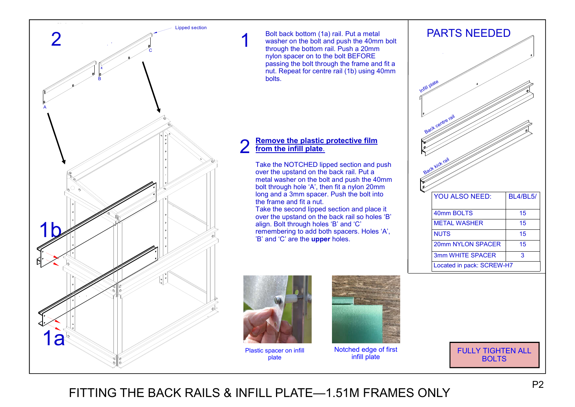

Bolt back bottom (1a) rail. Put a metal washer on the bolt and push the 40mm bolt through the bottom rail. Push a 20mm nylon spacer on to the bolt BEFORE passing the bolt through the frame and fit a nut. Repeat for centre rail (1b) using 40mm bolts.

#### **Remove the plastic protective film from the infill plate**. 2

Take the NOTCHED lipped section and push over the upstand on the back rail. Put a metal washer on the bolt and push the 40mm bolt through hole 'A', then fit a nylon 20mm long and a 3mm spacer. Push the bolt into the frame and fit a nut.

Take the second lipped section and place it over the upstand on the back rail so holes 'B' align. Bolt through holes 'B' and 'C' remembering to add both spacers. Holes 'A', 'B' and 'C' are the **upper** holes.





Plastic spacer on infill plate



Notched edge of first infill plate

FULLY TIGHTEN ALL BOLTS

FITTING THE BACK RAILS & INFILL PLATE—1.51M FRAMES ONLY

1